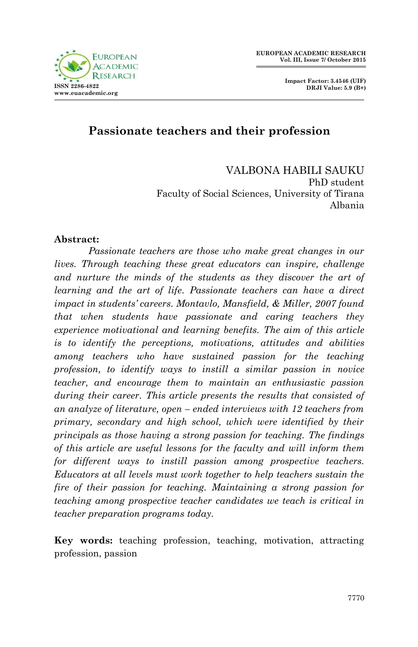

 **Impact Factor: 3.4546 (UIF) DRJI Value: 5.9 (B+)**

# **Passionate teachers and their profession**

VALBONA HABILI SAUKU PhD student Faculty of Social Sciences, University of Tirana Albania

#### **Abstract:**

*Passionate teachers are those who make great changes in our lives. Through teaching these great educators can inspire, challenge and nurture the minds of the students as they discover the art of learning and the art of life. Passionate teachers can have a direct impact in students" careers. Montavlo, Mansfield, & Miller, 2007 found that when students have passionate and caring teachers they experience motivational and learning benefits. The aim of this article is to identify the perceptions, motivations, attitudes and abilities among teachers who have sustained passion for the teaching profession, to identify ways to instill a similar passion in novice teacher, and encourage them to maintain an enthusiastic passion during their career. This article presents the results that consisted of an analyze of literature, open – ended interviews with 12 teachers from primary, secondary and high school, which were identified by their principals as those having a strong passion for teaching. The findings of this article are useful lessons for the faculty and will inform them for different ways to instill passion among prospective teachers. Educators at all levels must work together to help teachers sustain the fire of their passion for teaching. Maintaining a strong passion for teaching among prospective teacher candidates we teach is critical in teacher preparation programs today.*

**Key words:** teaching profession, teaching, motivation, attracting profession, passion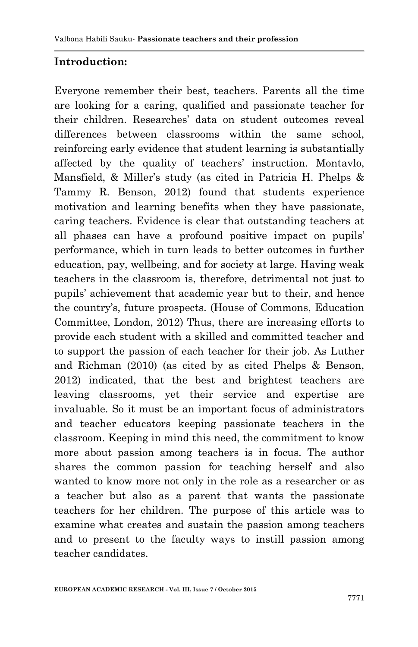# **Introduction:**

Everyone remember their best, teachers. Parents all the time are looking for a caring, qualified and passionate teacher for their children. Researches' data on student outcomes reveal differences between classrooms within the same school, reinforcing early evidence that student learning is substantially affected by the quality of teachers' instruction. Montavlo, Mansfield, & Miller's study (as cited in Patricia H. Phelps & Tammy R. Benson, 2012) found that students experience motivation and learning benefits when they have passionate, caring teachers. Evidence is clear that outstanding teachers at all phases can have a profound positive impact on pupils' performance, which in turn leads to better outcomes in further education, pay, wellbeing, and for society at large. Having weak teachers in the classroom is, therefore, detrimental not just to pupils' achievement that academic year but to their, and hence the country's, future prospects. (House of Commons, Education Committee, London, 2012) Thus, there are increasing efforts to provide each student with a skilled and committed teacher and to support the passion of each teacher for their job. As Luther and Richman (2010) (as cited by as cited Phelps & Benson, 2012) indicated, that the best and brightest teachers are leaving classrooms, yet their service and expertise are invaluable. So it must be an important focus of administrators and teacher educators keeping passionate teachers in the classroom. Keeping in mind this need, the commitment to know more about passion among teachers is in focus. The author shares the common passion for teaching herself and also wanted to know more not only in the role as a researcher or as a teacher but also as a parent that wants the passionate teachers for her children. The purpose of this article was to examine what creates and sustain the passion among teachers and to present to the faculty ways to instill passion among teacher candidates.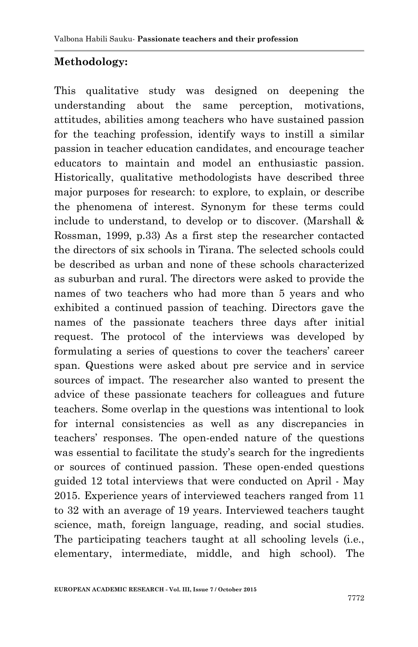# **Methodology:**

This qualitative study was designed on deepening the understanding about the same perception, motivations, attitudes, abilities among teachers who have sustained passion for the teaching profession, identify ways to instill a similar passion in teacher education candidates, and encourage teacher educators to maintain and model an enthusiastic passion. Historically, qualitative methodologists have described three major purposes for research: to explore, to explain, or describe the phenomena of interest. Synonym for these terms could include to understand, to develop or to discover. (Marshall & Rossman, 1999, p.33) As a first step the researcher contacted the directors of six schools in Tirana. The selected schools could be described as urban and none of these schools characterized as suburban and rural. The directors were asked to provide the names of two teachers who had more than 5 years and who exhibited a continued passion of teaching. Directors gave the names of the passionate teachers three days after initial request. The protocol of the interviews was developed by formulating a series of questions to cover the teachers' career span. Questions were asked about pre service and in service sources of impact. The researcher also wanted to present the advice of these passionate teachers for colleagues and future teachers. Some overlap in the questions was intentional to look for internal consistencies as well as any discrepancies in teachers' responses. The open-ended nature of the questions was essential to facilitate the study's search for the ingredients or sources of continued passion. These open-ended questions guided 12 total interviews that were conducted on April - May 2015. Experience years of interviewed teachers ranged from 11 to 32 with an average of 19 years. Interviewed teachers taught science, math, foreign language, reading, and social studies. The participating teachers taught at all schooling levels (i.e., elementary, intermediate, middle, and high school). The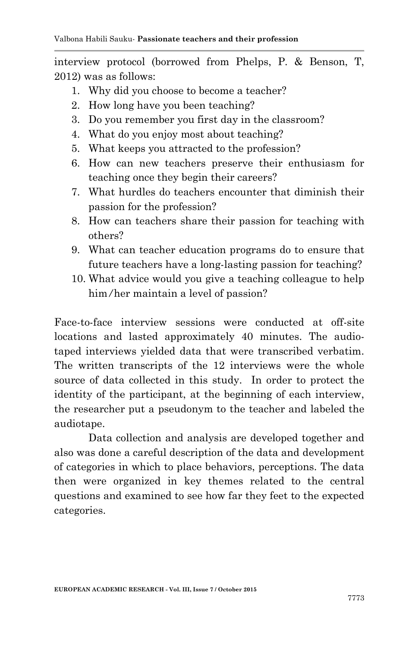interview protocol (borrowed from Phelps, P. & Benson, T, 2012) was as follows:

- 1. Why did you choose to become a teacher?
- 2. How long have you been teaching?
- 3. Do you remember you first day in the classroom?
- 4. What do you enjoy most about teaching?
- 5. What keeps you attracted to the profession?
- 6. How can new teachers preserve their enthusiasm for teaching once they begin their careers?
- 7. What hurdles do teachers encounter that diminish their passion for the profession?
- 8. How can teachers share their passion for teaching with others?
- 9. What can teacher education programs do to ensure that future teachers have a long-lasting passion for teaching?
- 10. What advice would you give a teaching colleague to help him*/*her maintain a level of passion?

Face-to-face interview sessions were conducted at off-site locations and lasted approximately 40 minutes. The audiotaped interviews yielded data that were transcribed verbatim. The written transcripts of the 12 interviews were the whole source of data collected in this study. In order to protect the identity of the participant, at the beginning of each interview, the researcher put a pseudonym to the teacher and labeled the audiotape.

Data collection and analysis are developed together and also was done a careful description of the data and development of categories in which to place behaviors, perceptions. The data then were organized in key themes related to the central questions and examined to see how far they feet to the expected categories.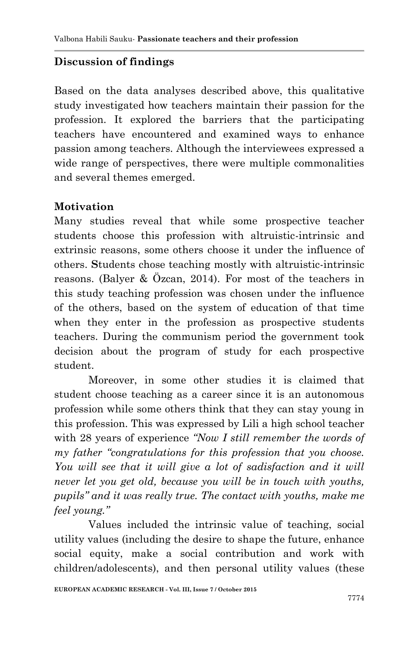# **Discussion of findings**

Based on the data analyses described above, this qualitative study investigated how teachers maintain their passion for the profession. It explored the barriers that the participating teachers have encountered and examined ways to enhance passion among teachers. Although the interviewees expressed a wide range of perspectives, there were multiple commonalities and several themes emerged.

## **Motivation**

Many studies reveal that while some prospective teacher students choose this profession with altruistic-intrinsic and extrinsic reasons, some others choose it under the influence of others. **S**tudents chose teaching mostly with altruistic-intrinsic reasons. (Balyer & Özcan, 2014). For most of the teachers in this study teaching profession was chosen under the influence of the others, based on the system of education of that time when they enter in the profession as prospective students teachers. During the communism period the government took decision about the program of study for each prospective student.

Moreover, in some other studies it is claimed that student choose teaching as a career since it is an autonomous profession while some others think that they can stay young in this profession. This was expressed by Lili a high school teacher with 28 years of experience *"Now I still remember the words of my father "congratulations for this profession that you choose.*  You will see that it will give a lot of sadisfaction and it will *never let you get old, because you will be in touch with youths, pupils" and it was really true. The contact with youths, make me feel young."*

Values included the intrinsic value of teaching, social utility values (including the desire to shape the future, enhance social equity, make a social contribution and work with children/adolescents), and then personal utility values (these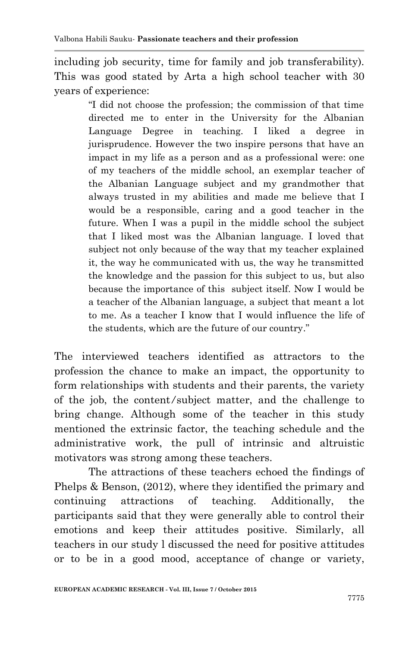including job security, time for family and job transferability). This was good stated by Arta a high school teacher with 30 years of experience:

> ―I did not choose the profession; the commission of that time directed me to enter in the University for the Albanian Language Degree in teaching. I liked a degree in jurisprudence. However the two inspire persons that have an impact in my life as a person and as a professional were: one of my teachers of the middle school, an exemplar teacher of the Albanian Language subject and my grandmother that always trusted in my abilities and made me believe that I would be a responsible, caring and a good teacher in the future. When I was a pupil in the middle school the subject that I liked most was the Albanian language. I loved that subject not only because of the way that my teacher explained it, the way he communicated with us, the way he transmitted the knowledge and the passion for this subject to us, but also because the importance of this subject itself. Now I would be a teacher of the Albanian language, a subject that meant a lot to me. As a teacher I know that I would influence the life of the students, which are the future of our country."

The interviewed teachers identified as attractors to the profession the chance to make an impact, the opportunity to form relationships with students and their parents, the variety of the job, the content*/*subject matter, and the challenge to bring change. Although some of the teacher in this study mentioned the extrinsic factor, the teaching schedule and the administrative work, the pull of intrinsic and altruistic motivators was strong among these teachers.

The attractions of these teachers echoed the findings of Phelps & Benson, (2012), where they identified the primary and continuing attractions of teaching. Additionally, the participants said that they were generally able to control their emotions and keep their attitudes positive. Similarly, all teachers in our study l discussed the need for positive attitudes or to be in a good mood, acceptance of change or variety,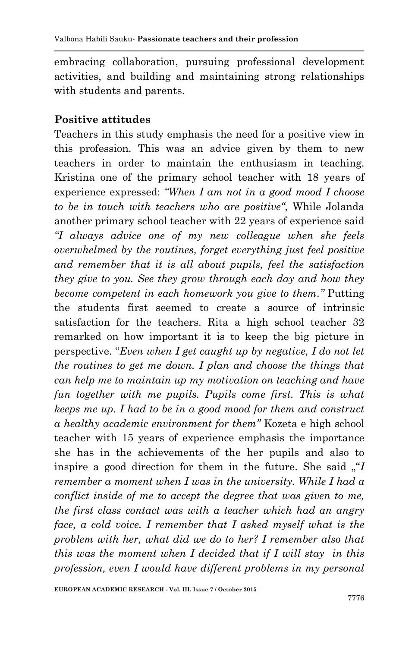embracing collaboration, pursuing professional development activities, and building and maintaining strong relationships with students and parents.

#### **Positive attitudes**

Teachers in this study emphasis the need for a positive view in this profession. This was an advice given by them to new teachers in order to maintain the enthusiasm in teaching. Kristina one of the primary school teacher with 18 years of experience expressed: *"When I am not in a good mood I choose to be in touch with teachers who are positive"*, While Jolanda another primary school teacher with 22 years of experience said *"I always advice one of my new colleague when she feels overwhelmed by the routines, forget everything just feel positive and remember that it is all about pupils, feel the satisfaction they give to you. See they grow through each day and how they become competent in each homework you give to them."* Putting the students first seemed to create a source of intrinsic satisfaction for the teachers. Rita a high school teacher 32 remarked on how important it is to keep the big picture in perspective. ―*Even when I get caught up by negative, I do not let the routines to get me down. I plan and choose the things that can help me to maintain up my motivation on teaching and have fun together with me pupils. Pupils come first. This is what keeps me up. I had to be in a good mood for them and construct a healthy academic environment for them"* Kozeta e high school teacher with 15 years of experience emphasis the importance she has in the achievements of the her pupils and also to inspire a good direction for them in the future. She said  $\mathcal{I}$ *remember a moment when I was in the university. While I had a conflict inside of me to accept the degree that was given to me, the first class contact was with a teacher which had an angry face, a cold voice. I remember that I asked myself what is the problem with her, what did we do to her? I remember also that this was the moment when I decided that if I will stay in this profession, even I would have different problems in my personal*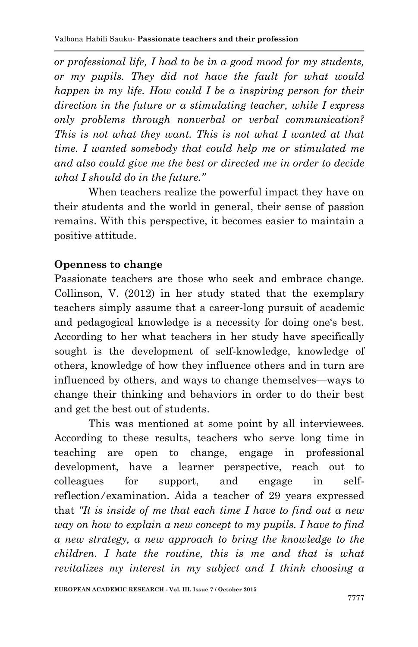*or professional life, I had to be in a good mood for my students, or my pupils. They did not have the fault for what would happen in my life. How could I be a inspiring person for their direction in the future or a stimulating teacher, while I express only problems through nonverbal or verbal communication? This is not what they want. This is not what I wanted at that time. I wanted somebody that could help me or stimulated me and also could give me the best or directed me in order to decide what I should do in the future."* 

When teachers realize the powerful impact they have on their students and the world in general, their sense of passion remains. With this perspective, it becomes easier to maintain a positive attitude.

# **Openness to change**

Passionate teachers are those who seek and embrace change. Collinson, V. (2012) in her study stated that the exemplary teachers simply assume that a career-long pursuit of academic and pedagogical knowledge is a necessity for doing one's best. According to her what teachers in her study have specifically sought is the development of self-knowledge, knowledge of others, knowledge of how they influence others and in turn are influenced by others, and ways to change themselves—ways to change their thinking and behaviors in order to do their best and get the best out of students.

This was mentioned at some point by all interviewees. According to these results, teachers who serve long time in teaching are open to change, engage in professional development, have a learner perspective, reach out to colleagues for support, and engage in selfreflection*/*examination. Aida a teacher of 29 years expressed that *"It is inside of me that each time I have to find out a new way on how to explain a new concept to my pupils. I have to find a new strategy, a new approach to bring the knowledge to the children. I hate the routine, this is me and that is what revitalizes my interest in my subject and I think choosing a*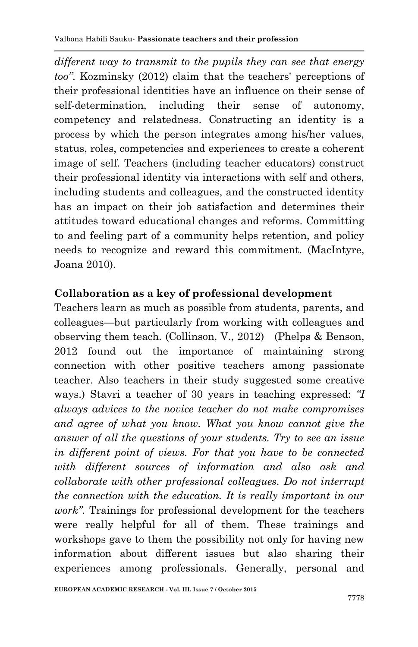*different way to transmit to the pupils they can see that energy too"*. Kozminsky (2012) claim that the teachers' perceptions of their professional identities have an influence on their sense of self-determination, including their sense of autonomy, competency and relatedness. Constructing an identity is a process by which the person integrates among his/her values, status, roles, competencies and experiences to create a coherent image of self. Teachers (including teacher educators) construct their professional identity via interactions with self and others, including students and colleagues, and the constructed identity has an impact on their job satisfaction and determines their attitudes toward educational changes and reforms. Committing to and feeling part of a community helps retention, and policy needs to recognize and reward this commitment. (MacIntyre, Joana 2010).

## **Collaboration as a key of professional development**

Teachers learn as much as possible from students, parents, and colleagues—but particularly from working with colleagues and observing them teach. (Collinson, V., 2012) (Phelps & Benson, 2012 found out the importance of maintaining strong connection with other positive teachers among passionate teacher. Also teachers in their study suggested some creative ways.) Stavri a teacher of 30 years in teaching expressed: *"I always advices to the novice teacher do not make compromises and agree of what you know. What you know cannot give the answer of all the questions of your students. Try to see an issue in different point of views. For that you have to be connected with different sources of information and also ask and collaborate with other professional colleagues. Do not interrupt the connection with the education. It is really important in our work".* Trainings for professional development for the teachers were really helpful for all of them. These trainings and workshops gave to them the possibility not only for having new information about different issues but also sharing their experiences among professionals. Generally, personal and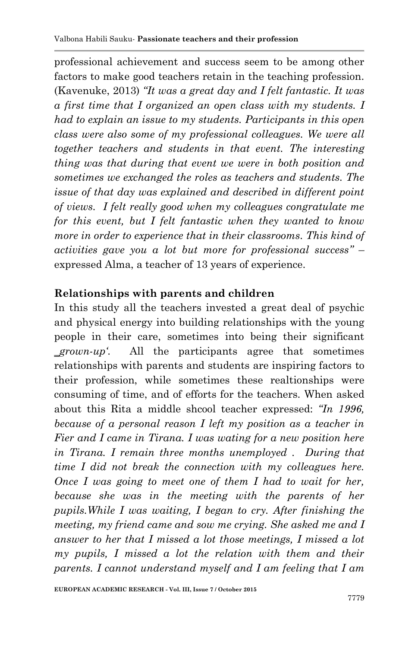professional achievement and success seem to be among other factors to make good teachers retain in the teaching profession. (Kavenuke, 2013) *"It was a great day and I felt fantastic. It was a first time that I organized an open class with my students. I had to explain an issue to my students. Participants in this open class were also some of my professional colleagues. We were all together teachers and students in that event. The interesting thing was that during that event we were in both position and sometimes we exchanged the roles as teachers and students. The issue of that day was explained and described in different point of views. I felt really good when my colleagues congratulate me for this event, but I felt fantastic when they wanted to know more in order to experience that in their classrooms. This kind of activities gave you a lot but more for professional success"* – expressed Alma, a teacher of 13 years of experience.

# **Relationships with parents and children**

In this study all the teachers invested a great deal of psychic and physical energy into building relationships with the young people in their care, sometimes into being their significant *‗grown-up"*. All the participants agree that sometimes relationships with parents and students are inspiring factors to their profession, while sometimes these realtionships were consuming of time, and of efforts for the teachers. When asked about this Rita a middle shcool teacher expressed: *"In 1996, because of a personal reason I left my position as a teacher in Fier and I came in Tirana. I was wating for a new position here in Tirana. I remain three months unemployed . During that time I did not break the connection with my colleagues here. Once I was going to meet one of them I had to wait for her, because she was in the meeting with the parents of her pupils.While I was waiting, I began to cry. After finishing the meeting, my friend came and sow me crying. She asked me and I answer to her that I missed a lot those meetings, I missed a lot my pupils, I missed a lot the relation with them and their parents. I cannot understand myself and I am feeling that I am*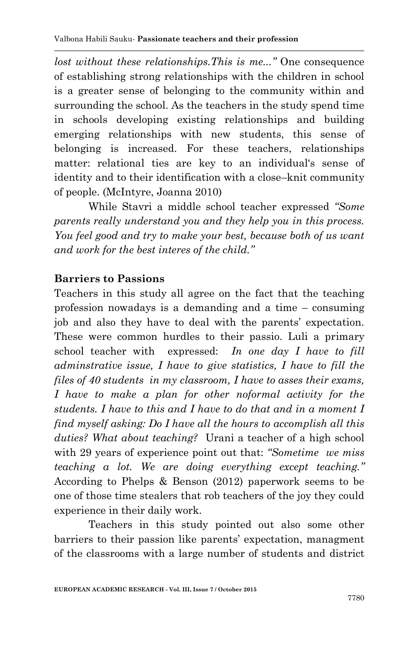*lost without these relationships.This is me..."* One consequence of establishing strong relationships with the children in school is a greater sense of belonging to the community within and surrounding the school. As the teachers in the study spend time in schools developing existing relationships and building emerging relationships with new students, this sense of belonging is increased. For these teachers, relationships matter: relational ties are key to an individual's sense of identity and to their identification with a close–knit community of people. (McIntyre, Joanna 2010)

While Stavri a middle school teacher expressed *"Some parents really understand you and they help you in this process. You feel good and try to make your best, because both of us want and work for the best interes of the child."*

## **Barriers to Passions**

Teachers in this study all agree on the fact that the teaching profession nowadays is a demanding and a time – consuming job and also they have to deal with the parents' expectation. These were common hurdles to their passio. Luli a primary school teacher with expressed: *In one day I have to fill adminstrative issue, I have to give statistics, I have to fill the files of 40 students in my classroom, I have to asses their exams, I have to make a plan for other noformal activity for the students. I have to this and I have to do that and in a moment I find myself asking: Do I have all the hours to accomplish all this duties? What about teaching?* Urani a teacher of a high school with 29 years of experience point out that: *"Sometime we miss teaching a lot. We are doing everything except teaching."* According to Phelps & Benson (2012) paperwork seems to be one of those time stealers that rob teachers of the joy they could experience in their daily work.

Teachers in this study pointed out also some other barriers to their passion like parents' expectation, managment of the classrooms with a large number of students and district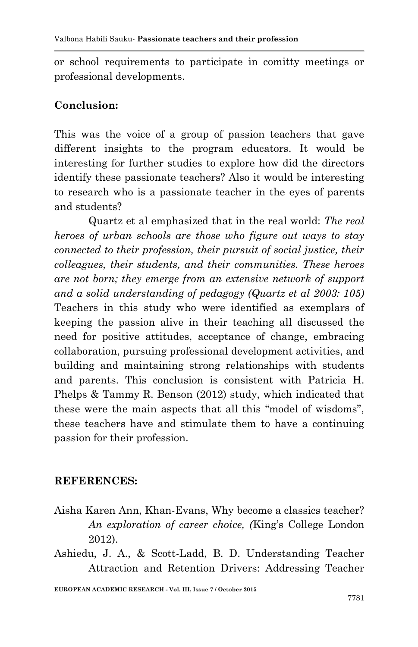or school requirements to participate in comitty meetings or professional developments.

# **Conclusion:**

This was the voice of a group of passion teachers that gave different insights to the program educators. It would be interesting for further studies to explore how did the directors identify these passionate teachers? Also it would be interesting to research who is a passionate teacher in the eyes of parents and students?

Quartz et al emphasized that in the real world: *The real heroes of urban schools are those who figure out ways to stay connected to their profession, their pursuit of social justice, their colleagues, their students, and their communities. These heroes are not born; they emerge from an extensive network of support and a solid understanding of pedagogy (Quartz et al 2003: 105)* Teachers in this study who were identified as exemplars of keeping the passion alive in their teaching all discussed the need for positive attitudes, acceptance of change, embracing collaboration, pursuing professional development activities, and building and maintaining strong relationships with students and parents. This conclusion is consistent with Patricia H. Phelps & Tammy R. Benson (2012) study, which indicated that these were the main aspects that all this "model of wisdoms", these teachers have and stimulate them to have a continuing passion for their profession.

# **REFERENCES:**

- Aisha Karen Ann, Khan-Evans, Why become a classics teacher? *An exploration of career choice, (*King's College London 2012).
- Ashiedu, J. A., & Scott-Ladd, B. D. Understanding Teacher Attraction and Retention Drivers: Addressing Teacher

**EUROPEAN ACADEMIC RESEARCH - Vol. III, Issue 7 / October 2015**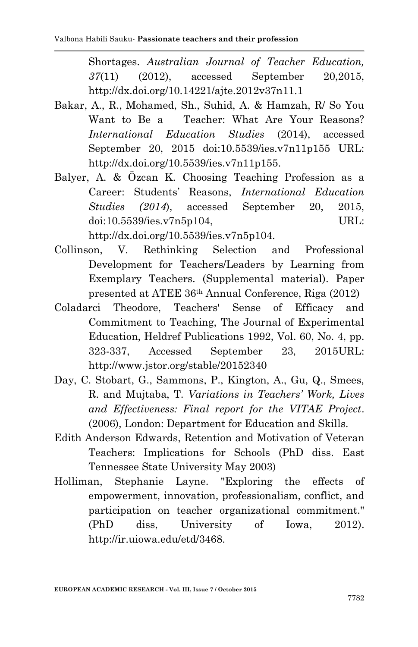Shortages. *Australian Journal of Teacher Education, 37*(11) (2012), accessed September 20,2015, http://dx.doi.org/10.14221/ajte.2012v37n11.1

- Bakar, A., R., Mohamed, Sh., Suhid, A. & Hamzah, R/ So You Want to Be a Teacher: What Are Your Reasons? *International Education Studies* (2014), accessed September 20, 2015 doi:10.5539/ies.v7n11p155 URL: http://dx.doi.org/10.5539/ies.v7n11p155.
- Balyer, A. & Özcan K. Choosing Teaching Profession as a Career: Students' Reasons, *International Education Studies (2014*), accessed September 20, 2015, doi:10.5539/ies.v7n5p104, URL: http://dx.doi.org/10.5539/ies.v7n5p104.
- Collinson, V. Rethinking Selection and Professional Development for Teachers/Leaders by Learning from Exemplary Teachers. (Supplemental material). Paper presented at ATEE 36th Annual Conference, Riga (2012)
- Coladarci Theodore, Teachers' Sense of Efficacy and Commitment to Teaching, The Journal of Experimental Education, Heldref Publications 1992, Vol. 60, No. 4, pp. 323-337, Accessed September 23, 2015URL: http://www.jstor.org/stable/20152340
- Day, C. Stobart, G., Sammons, P., Kington, A., Gu, Q., Smees, R. and Mujtaba, T. *Variations in Teachers" Work, Lives and Effectiveness: Final report for the VITAE Project*. (2006), London: Department for Education and Skills.
- Edith Anderson Edwards, Retention and Motivation of Veteran Teachers: Implications for Schools (PhD diss. East Tennessee State University May 2003)
- Holliman, Stephanie Layne. "Exploring the effects of empowerment, innovation, professionalism, conflict, and participation on teacher organizational commitment." (PhD diss, University of Iowa, 2012). http://ir.uiowa.edu/etd/3468.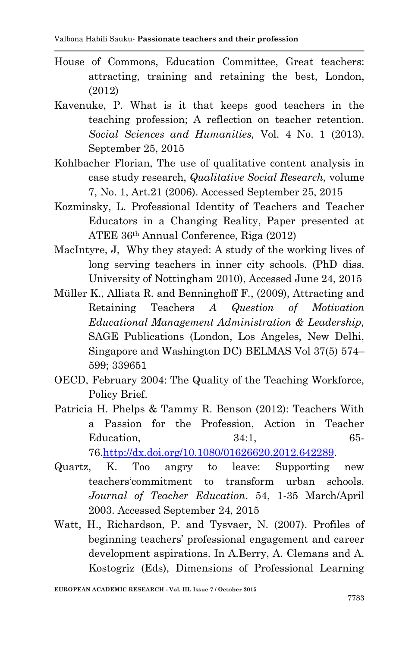- House of Commons, Education Committee, Great teachers: attracting, training and retaining the best, London, (2012)
- Kavenuke, P. What is it that keeps good teachers in the teaching profession; A reflection on teacher retention. *Social Sciences and Humanities,* Vol. 4 No. 1 (2013). September 25, 2015
- Kohlbacher Florian, The use of qualitative content analysis in case study research, *Qualitative Social Research,* volume 7, No. 1, Art.21 (2006). Accessed September 25, 2015
- Kozminsky, L. Professional Identity of Teachers and Teacher Educators in a Changing Reality, Paper presented at ATEE 36th Annual Conference, Riga (2012)
- MacIntyre, J, Why they stayed: A study of the working lives of long serving teachers in inner city schools. (PhD diss. University of Nottingham 2010), Accessed June 24, 2015
- Müller K., Alliata R. and Benninghoff F., (2009), Attracting and Retaining Teachers *A Question of Motivation Educational Management Administration & Leadership,*  SAGE Publications (London, Los Angeles, New Delhi, Singapore and Washington DC) BELMAS Vol 37(5) 574– 599; 339651
- OECD, February 2004: The Quality of the Teaching Workforce, Policy Brief.
- Patricia H. Phelps & Tammy R. Benson (2012): Teachers With a Passion for the Profession, Action in Teacher Education, 34:1, 65-76[.http://dx.doi.org/10.1080/01626620.2012.642289.](http://dx.doi.org/10.1080/01626620.2012.642289)
- Quartz, K. Too angry to leave: Supporting new teachers‗commitment to transform urban schools. *Journal of Teacher Education*. 54, 1-35 March/April 2003. Accessed September 24, 2015
- Watt, H., Richardson, P. and Tysvaer, N. (2007). Profiles of beginning teachers' professional engagement and career development aspirations. In A.Berry, A. Clemans and A. Kostogriz (Eds), Dimensions of Professional Learning